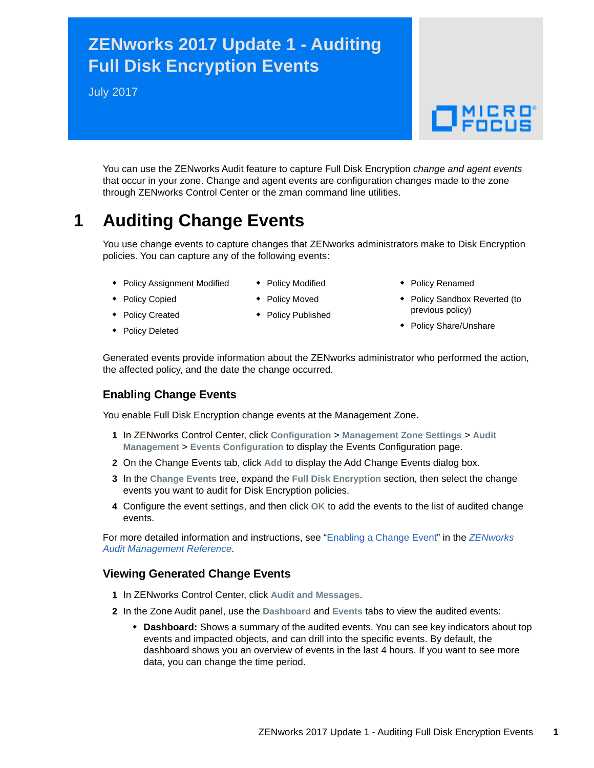# **ZENworks 2017 Update 1 - Auditing Full Disk Encryption Events**

July 2017



You can use the ZENworks Audit feature to capture Full Disk Encryption *change and agent events* that occur in your zone. Change and agent events are configuration changes made to the zone through ZENworks Control Center or the zman command line utilities.

# **1 Auditing Change Events**

You use change events to capture changes that ZENworks administrators make to Disk Encryption policies. You can capture any of the following events:

- **Policy Assignment Modified**
- ◆ Policy Modified
- Policy Renamed
- Policy Copied
- Policy Moved
- ◆ Policy Published
- 
- Policy Sandbox Reverted (to previous policy)
- Policy Share/Unshare

• Policy Created Policy Deleted

Generated events provide information about the ZENworks administrator who performed the action, the affected policy, and the date the change occurred.

### **Enabling Change Events**

You enable Full Disk Encryption change events at the Management Zone.

- **1** In ZENworks Control Center, click **Configuration** > **Management Zone Settings** > **Audit Management** > **Events Configuration** to display the Events Configuration page.
- **2** On the Change Events tab, click **Add** to display the Add Change Events dialog box.
- **3** In the **Change Events** tree, expand the **Full Disk Encryption** section, then select the change events you want to audit for Disk Encryption policies.
- **4** Configure the event settings, and then click **OK** to add the events to the list of audited change events.

For more detailed information and instructions, see "[Enabling a Change Event](https://www.novell.com/documentation/zenworks2017/pdfdoc/zen_audit_management/zen_audit_management.pdf#b16qrf3y)" in the *[ZENworks](https://www.novell.com/documentation/zenworks2017/pdfdoc/zen_audit_management/zen_audit_management.pdf#bookinfo)  Audit Management Reference*.

### **Viewing Generated Change Events**

- **1** In ZENworks Control Center, click **Audit and Messages**.
- **2** In the Zone Audit panel, use the **Dashboard** and **Events** tabs to view the audited events:
	- **Dashboard:** Shows a summary of the audited events. You can see key indicators about top events and impacted objects, and can drill into the specific events. By default, the dashboard shows you an overview of events in the last 4 hours. If you want to see more data, you can change the time period.